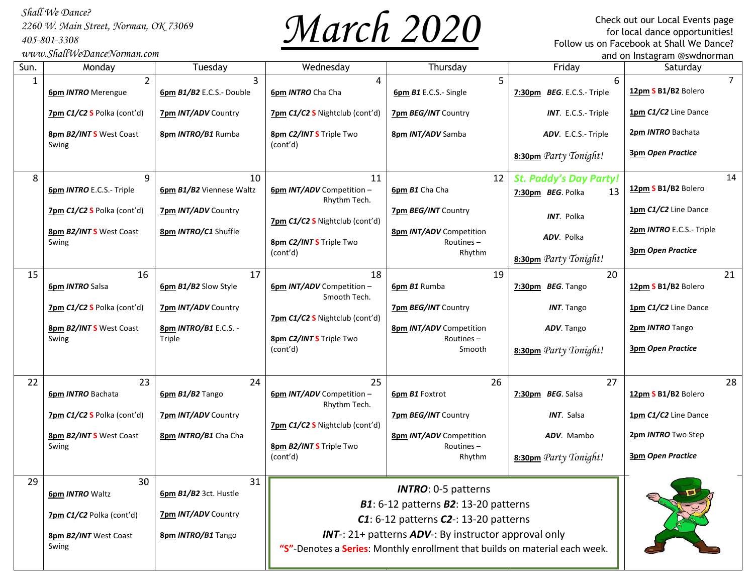*2260 W. Main Street, Norman, OK 73069 405-801-3308*

*www.ShallWeDanceNorman.com*



 for local dance opportunities! Check out our Local Events page Follow us on Facebook at Shall We Dance? and on Instagram @swdnorman

| Sun. | Monday                                      | Tuesday                        | Wednesday                                                                                                                           | Thursday                                       | Friday                                                   | Saturday                              |
|------|---------------------------------------------|--------------------------------|-------------------------------------------------------------------------------------------------------------------------------------|------------------------------------------------|----------------------------------------------------------|---------------------------------------|
| 1    | $\overline{2}$<br><b>6pm INTRO</b> Merengue | 3<br>6pm B1/B2 E.C.S.- Double  | 4<br>6pm INTRO Cha Cha                                                                                                              | 5<br>6pm B1 E.C.S.- Single                     | 6<br>7:30pm BEG. E.C.S.- Triple                          | $\overline{7}$<br>12pm S B1/B2 Bolero |
|      | 7pm C1/C2 S Polka (cont'd)                  | 7pm INT/ADV Country            | 7pm C1/C2 S Nightclub (cont'd)                                                                                                      | 7pm BEG/INT Country                            | <b>INT.</b> E.C.S.- Triple                               | 1pm C1/C2 Line Dance                  |
|      | 8pm B2/INTS West Coast                      | 8pm INTRO/B1 Rumba             | 8pm C2/INT S Triple Two                                                                                                             | 8pm INT/ADV Samba                              | ADV. E.C.S.- Triple                                      | 2pm INTRO Bachata                     |
|      | Swing                                       |                                | (cont'd)                                                                                                                            |                                                | 8:30pm Party Tonight!                                    | <b>3pm Open Practice</b>              |
| 8    | 9<br>6pm INTRO E.C.S.- Triple               | 10<br>6pm B1/B2 Viennese Waltz | 11<br>6pm INT/ADV Competition -<br>Rhythm Tech.                                                                                     | 12<br><b>6pm B1</b> Cha Cha                    | <b>St. Paddy's Day Party!</b><br>13<br>7:30pm BEG. Polka | 14<br>12pm S B1/B2 Bolero             |
|      | 7pm C1/C2 S Polka (cont'd)                  | 7pm INT/ADV Country            | 7pm C1/C2 S Nightclub (cont'd)                                                                                                      | 7pm BEG/INT Country                            | INT. Polka                                               | 1pm C1/C2 Line Dance                  |
|      | 8pm B2/INTS West Coast                      | 8pm INTRO/C1 Shuffle           | 8pm C2/INT S Triple Two                                                                                                             | <b>8pm INT/ADV</b> Competition<br>Routines $-$ | ADV. Polka                                               | 2pm INTRO E.C.S.- Triple              |
|      | Swing                                       |                                | (cont'd)                                                                                                                            | Rhythm                                         | 8:30pm Party Tonight!                                    | <b>3pm Open Practice</b>              |
| 15   | 16<br><b>6pm INTRO Salsa</b>                | 17<br>6pm B1/B2 Slow Style     | 18<br>6pm INT/ADV Competition -<br>Smooth Tech.                                                                                     | 19<br>6pm B1 Rumba                             | 20<br>7:30pm BEG. Tango                                  | 21<br>12pm S B1/B2 Bolero             |
|      | 7pm C1/C2 S Polka (cont'd)                  | 7pm INT/ADV Country            |                                                                                                                                     | 7pm BEG/INT Country                            | <b>INT.</b> Tango                                        | 1pm C1/C2 Line Dance                  |
|      | 8pm B2/INTS West Coast                      | 8pm INTRO/B1 E.C.S. -          | 7pm C1/C2 S Nightclub (cont'd)                                                                                                      | <b>8pm INT/ADV</b> Competition                 | ADV. Tango                                               | 2pm INTRO Tango                       |
|      | Swing                                       | Triple                         | 8pm C2/INT S Triple Two<br>(cont'd)                                                                                                 | Routines-<br>Smooth                            | 8:30pm Party Tonight!                                    | <b>3pm Open Practice</b>              |
| 22   | 23                                          | 24                             | 25                                                                                                                                  | 26                                             | 27                                                       | 28                                    |
|      | <b>6pm INTRO Bachata</b>                    | 6pm B1/B2 Tango                | 6pm INT/ADV Competition -<br>Rhythm Tech.                                                                                           | 6pm B1 Foxtrot                                 | 7:30pm BEG. Salsa                                        | 12pm S B1/B2 Bolero                   |
|      | 7pm C1/C2 S Polka (cont'd)                  | <b>7pm INT/ADV Country</b>     | 7pm C1/C2 S Nightclub (cont'd)                                                                                                      | 7pm BEG/INT Country                            | <b>INT.</b> Salsa                                        | 1pm C1/C2 Line Dance                  |
|      | 8pm B2/INT S West Coast                     | 8pm INTRO/B1 Cha Cha           | 8pm B2/INTS Triple Two                                                                                                              | <b>8pm INT/ADV</b> Competition<br>Routines-    | ADV. Mambo                                               | 2pm INTRO Two Step                    |
|      | Swing                                       |                                | (cont'd)                                                                                                                            | Rhythm                                         | 8:30pm Party Tonight!                                    | <b>3pm Open Practice</b>              |
| 29   | 30<br><b>6pm INTRO Waltz</b>                | 31<br>6pm B1/B2 3ct. Hustle    | <b>INTRO:</b> 0-5 patterns                                                                                                          |                                                |                                                          |                                       |
|      | 7pm C1/C2 Polka (cont'd)                    | 7pm INT/ADV Country            | B1: 6-12 patterns B2: 13-20 patterns<br>$C1: 6-12$ patterns $C2-1: 13-20$ patterns                                                  |                                                |                                                          |                                       |
|      | <b>8pm B2/INT West Coast</b><br>Swing       | 8pm INTRO/B1 Tango             | INT-: 21+ patterns ADV-: By instructor approval only<br>"S"-Denotes a Series: Monthly enrollment that builds on material each week. |                                                |                                                          |                                       |